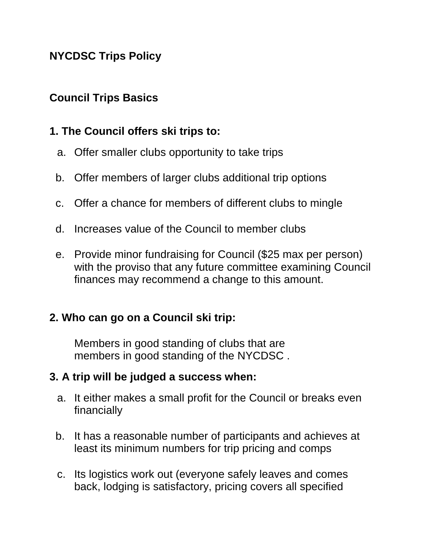### **NYCDSC Trips Policy**

### **Council Trips Basics**

### **1. The Council offers ski trips to:**

- a. Offer smaller clubs opportunity to take trips
- b. Offer members of larger clubs additional trip options
- c. Offer a chance for members of different clubs to mingle
- d. Increases value of the Council to member clubs
- e. Provide minor fundraising for Council (\$25 max per person) with the proviso that any future committee examining Council finances may recommend a change to this amount.

### **2. Who can go on a Council ski trip:**

Members in good standing of clubs that are members in good standing of the NYCDSC .

### **3. A trip will be judged a success when:**

- a. It either makes a small profit for the Council or breaks even financially
- b. It has a reasonable number of participants and achieves at least its minimum numbers for trip pricing and comps
- c. Its logistics work out (everyone safely leaves and comes back, lodging is satisfactory, pricing covers all specified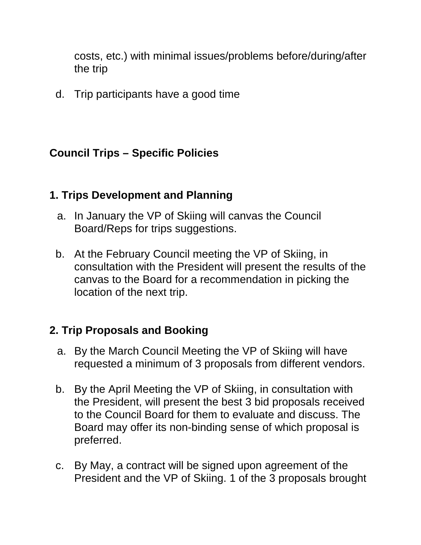costs, etc.) with minimal issues/problems before/during/after the trip

d. Trip participants have a good time

### **Council Trips – Specific Policies**

#### **1. Trips Development and Planning**

- a. In January the VP of Skiing will canvas the Council Board/Reps for trips suggestions.
- b. At the February Council meeting the VP of Skiing, in consultation with the President will present the results of the canvas to the Board for a recommendation in picking the location of the next trip.

### **2. Trip Proposals and Booking**

- a. By the March Council Meeting the VP of Skiing will have requested a minimum of 3 proposals from different vendors.
- b. By the April Meeting the VP of Skiing, in consultation with the President, will present the best 3 bid proposals received to the Council Board for them to evaluate and discuss. The Board may offer its non-binding sense of which proposal is preferred.
- c. By May, a contract will be signed upon agreement of the President and the VP of Skiing. 1 of the 3 proposals brought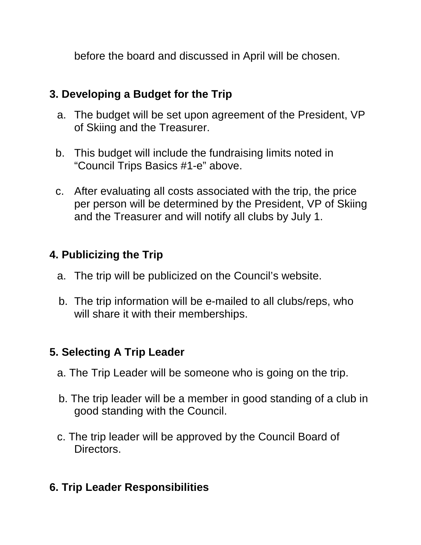before the board and discussed in April will be chosen.

# **3. Developing a Budget for the Trip**

- a. The budget will be set upon agreement of the President, VP of Skiing and the Treasurer.
- b. This budget will include the fundraising limits noted in "Council Trips Basics #1-e" above.
- c. After evaluating all costs associated with the trip, the price per person will be determined by the President, VP of Skiing and the Treasurer and will notify all clubs by July 1.

# **4. Publicizing the Trip**

- a. The trip will be publicized on the Council's website.
- b. The trip information will be e-mailed to all clubs/reps, who will share it with their memberships.

## **5. Selecting A Trip Leader**

- a. The Trip Leader will be someone who is going on the trip.
- b. The trip leader will be a member in good standing of a club in good standing with the Council.
- c. The trip leader will be approved by the Council Board of Directors.

## **6. Trip Leader Responsibilities**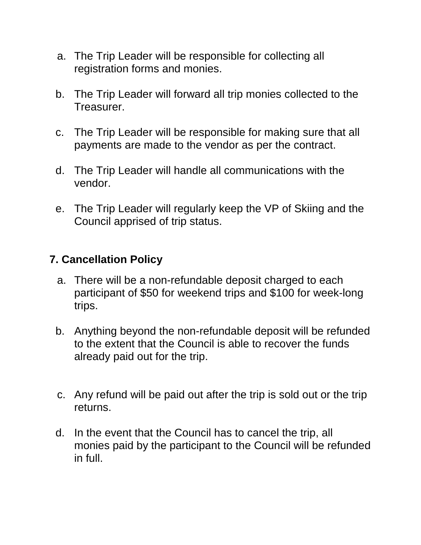- a. The Trip Leader will be responsible for collecting all registration forms and monies.
- b. The Trip Leader will forward all trip monies collected to the Treasurer.
- c. The Trip Leader will be responsible for making sure that all payments are made to the vendor as per the contract.
- d. The Trip Leader will handle all communications with the vendor.
- e. The Trip Leader will regularly keep the VP of Skiing and the Council apprised of trip status.

### **7. Cancellation Policy**

- a. There will be a non-refundable deposit charged to each participant of \$50 for weekend trips and \$100 for week-long trips.
- b. Anything beyond the non-refundable deposit will be refunded to the extent that the Council is able to recover the funds already paid out for the trip.
- c. Any refund will be paid out after the trip is sold out or the trip returns.
- d. In the event that the Council has to cancel the trip, all monies paid by the participant to the Council will be refunded in full.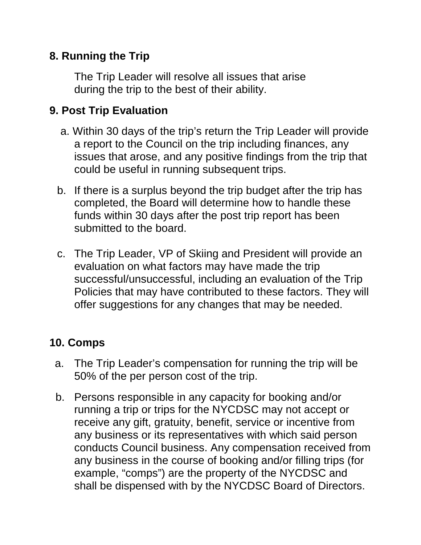### **8. Running the Trip**

The Trip Leader will resolve all issues that arise during the trip to the best of their ability.

# **9. Post Trip Evaluation**

- a. Within 30 days of the trip's return the Trip Leader will provide a report to the Council on the trip including finances, any issues that arose, and any positive findings from the trip that could be useful in running subsequent trips.
- b. If there is a surplus beyond the trip budget after the trip has completed, the Board will determine how to handle these funds within 30 days after the post trip report has been submitted to the board.
- c. The Trip Leader, VP of Skiing and President will provide an evaluation on what factors may have made the trip successful/unsuccessful, including an evaluation of the Trip Policies that may have contributed to these factors. They will offer suggestions for any changes that may be needed.

## **10. Comps**

- a. The Trip Leader's compensation for running the trip will be 50% of the per person cost of the trip.
- b. Persons responsible in any capacity for booking and/or running a trip or trips for the NYCDSC may not accept or receive any gift, gratuity, benefit, service or incentive from any business or its representatives with which said person conducts Council business. Any compensation received from any business in the course of booking and/or filling trips (for example, "comps") are the property of the NYCDSC and shall be dispensed with by the NYCDSC Board of Directors.